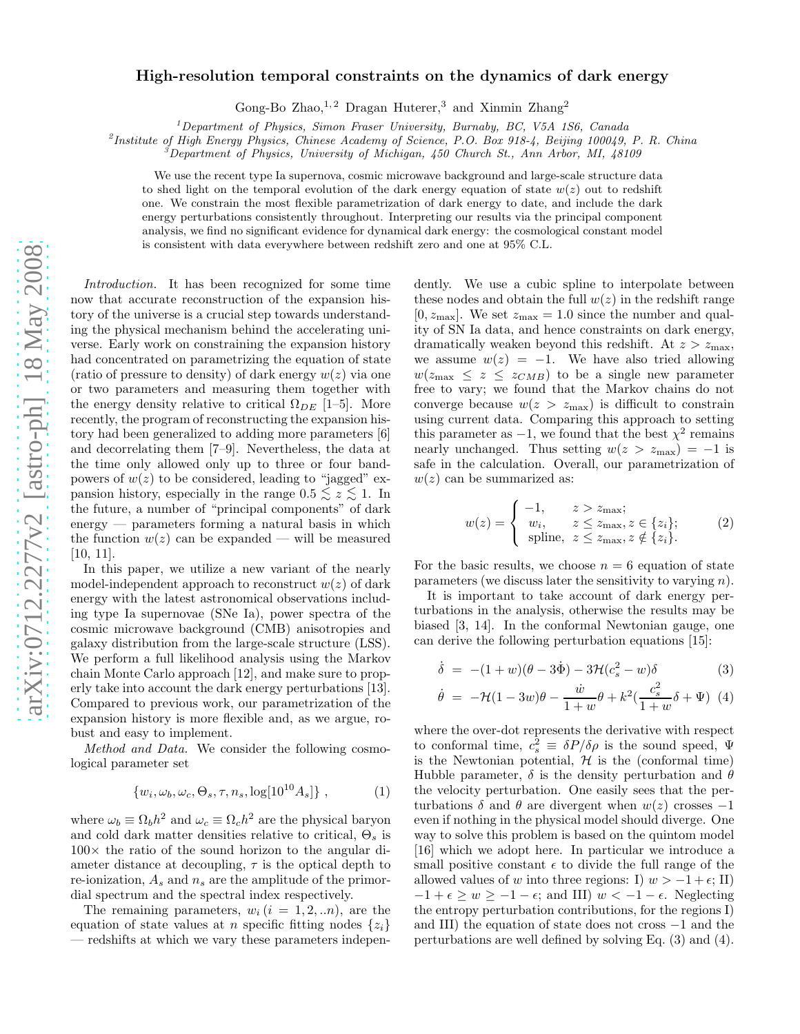# arXiv:0712.2277v2 [astro-ph] 18 May 2008 [arXiv:0712.2277v2 \[astro-ph\] 18 May 2008](http://arxiv.org/abs/0712.2277v2)

# High-resolution temporal constraints on the dynamics of dark energy

Gong-Bo Zhao,  $1, 2$  Dragan Huterer, 3 and Xinmin Zhang<sup>2</sup>

 $1$ Department of Physics, Simon Fraser University, Burnaby, BC, V5A 1S6, Canada

2 Institute of High Energy Physics, Chinese Academy of Science, P.O. Box 918-4, Beijing 100049, P. R. China

 $3$ Department of Physics, University of Michigan, 450 Church St., Ann Arbor, MI, 48109

We use the recent type Ia supernova, cosmic microwave background and large-scale structure data to shed light on the temporal evolution of the dark energy equation of state  $w(z)$  out to redshift one. We constrain the most flexible parametrization of dark energy to date, and include the dark energy perturbations consistently throughout. Interpreting our results via the principal component analysis, we find no significant evidence for dynamical dark energy: the cosmological constant model is consistent with data everywhere between redshift zero and one at 95% C.L.

Introduction. It has been recognized for some time now that accurate reconstruction of the expansion history of the universe is a crucial step towards understanding the physical mechanism behind the accelerating universe. Early work on constraining the expansion history had concentrated on parametrizing the equation of state (ratio of pressure to density) of dark energy  $w(z)$  via one or two parameters and measuring them together with the energy density relative to critical  $\Omega_{DE}$  [1–5]. More recently, the program of reconstructing the expansion history had been generalized to adding more parameters [6] and decorrelating them [7–9]. Nevertheless, the data at the time only allowed only up to three or four bandpowers of  $w(z)$  to be considered, leading to "jagged" expansion history, especially in the range  $0.5 \leq z \leq 1$ . In the future, a number of "principal components" of dark energy — parameters forming a natural basis in which the function  $w(z)$  can be expanded — will be measured [10, 11].

In this paper, we utilize a new variant of the nearly model-independent approach to reconstruct  $w(z)$  of dark energy with the latest astronomical observations including type Ia supernovae (SNe Ia), power spectra of the cosmic microwave background (CMB) anisotropies and galaxy distribution from the large-scale structure (LSS). We perform a full likelihood analysis using the Markov chain Monte Carlo approach [12], and make sure to properly take into account the dark energy perturbations [13]. Compared to previous work, our parametrization of the expansion history is more flexible and, as we argue, robust and easy to implement.

Method and Data. We consider the following cosmological parameter set

$$
\{w_i, \omega_b, \omega_c, \Theta_s, \tau, n_s, \log[10^{10}A_s]\},\tag{1}
$$

where  $\omega_b \equiv \Omega_b h^2$  and  $\omega_c \equiv \Omega_c h^2$  are the physical baryon and cold dark matter densities relative to critical,  $\Theta_s$  is  $100\times$  the ratio of the sound horizon to the angular diameter distance at decoupling,  $\tau$  is the optical depth to re-ionization,  $A_s$  and  $n_s$  are the amplitude of the primordial spectrum and the spectral index respectively.

The remaining parameters,  $w_i$   $(i = 1, 2, ...n)$ , are the equation of state values at n specific fitting nodes  $\{z_i\}$ — redshifts at which we vary these parameters indepen-

dently. We use a cubic spline to interpolate between these nodes and obtain the full  $w(z)$  in the redshift range  $[0, z_{\text{max}}]$ . We set  $z_{\text{max}} = 1.0$  since the number and quality of SN Ia data, and hence constraints on dark energy, dramatically weaken beyond this redshift. At  $z > z_{\text{max}}$ , we assume  $w(z) = -1$ . We have also tried allowing  $w(z_{\text{max}} \leq z \leq z_{CMB})$  to be a single new parameter free to vary; we found that the Markov chains do not converge because  $w(z > z_{\text{max}})$  is difficult to constrain using current data. Comparing this approach to setting this parameter as  $-1$ , we found that the best  $\chi^2$  remains nearly unchanged. Thus setting  $w(z > z_{\text{max}}) = -1$  is safe in the calculation. Overall, our parametrization of  $w(z)$  can be summarized as:

$$
w(z) = \begin{cases} -1, & z > z_{\text{max}}; \\ w_i, & z \le z_{\text{max}}, z \in \{z_i\}; \\ \text{spline, } z \le z_{\text{max}}, z \notin \{z_i\}. \end{cases} \tag{2}
$$

For the basic results, we choose  $n = 6$  equation of state parameters (we discuss later the sensitivity to varying  $n$ ).

It is important to take account of dark energy perturbations in the analysis, otherwise the results may be biased [3, 14]. In the conformal Newtonian gauge, one can derive the following perturbation equations [15]:

$$
\dot{\delta} = -(1+w)(\theta - 3\dot{\Phi}) - 3\mathcal{H}(c_s^2 - w)\delta \tag{3}
$$

$$
\dot{\theta} = -\mathcal{H}(1 - 3w)\theta - \frac{\dot{w}}{1 + w}\theta + k^2(\frac{c_s^2}{1 + w}\delta + \Psi) \tag{4}
$$

where the over-dot represents the derivative with respect to conformal time,  $c_s^2 \equiv \delta P/\delta \rho$  is the sound speed,  $\Psi$ is the Newtonian potential,  $H$  is the (conformal time) Hubble parameter,  $\delta$  is the density perturbation and  $\theta$ the velocity perturbation. One easily sees that the perturbations  $\delta$  and  $\theta$  are divergent when  $w(z)$  crosses  $-1$ even if nothing in the physical model should diverge. One way to solve this problem is based on the quintom model [16] which we adopt here. In particular we introduce a small positive constant  $\epsilon$  to divide the full range of the allowed values of w into three regions: I)  $w > -1 + \epsilon$ ; II)  $-1 + \epsilon \geq w \geq -1 - \epsilon$ ; and III)  $w < -1 - \epsilon$ . Neglecting the entropy perturbation contributions, for the regions I) and III) the equation of state does not cross −1 and the perturbations are well defined by solving Eq. (3) and (4).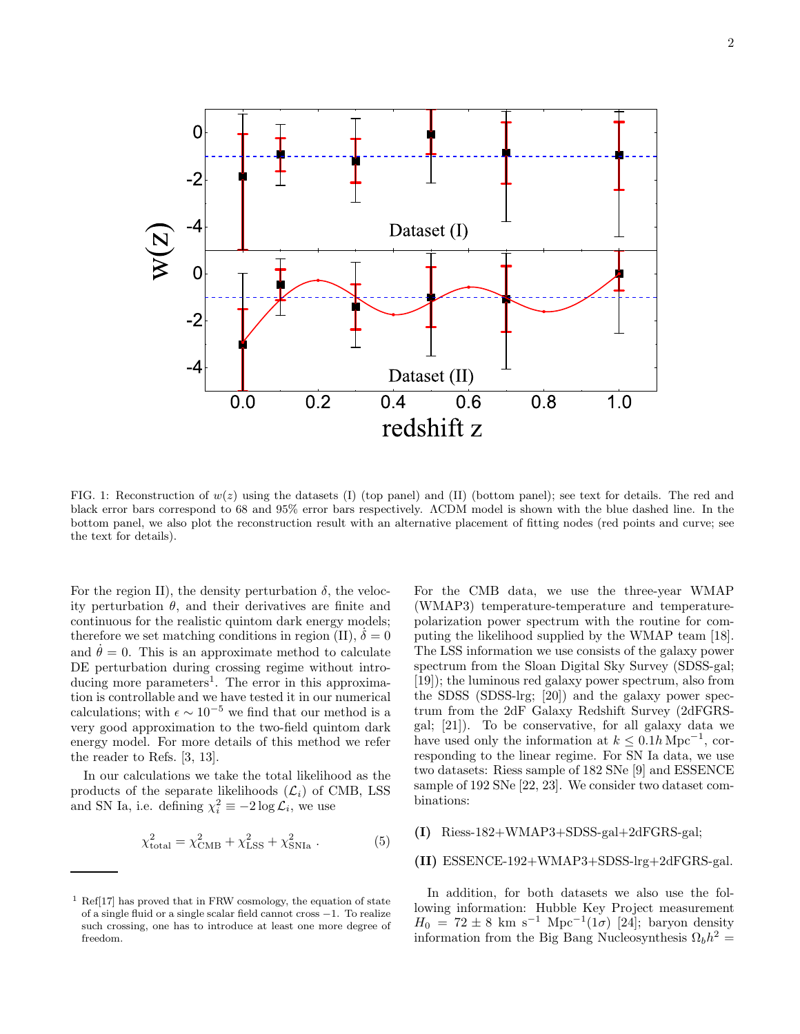

FIG. 1: Reconstruction of  $w(z)$  using the datasets (I) (top panel) and (II) (bottom panel); see text for details. The red and black error bars correspond to 68 and 95% error bars respectively. ΛCDM model is shown with the blue dashed line. In the bottom panel, we also plot the reconstruction result with an alternative placement of fitting nodes (red points and curve; see the text for details).

For the region II), the density perturbation  $\delta$ , the velocity perturbation  $\theta$ , and their derivatives are finite and continuous for the realistic quintom dark energy models; therefore we set matching conditions in region (II),  $\delta = 0$ and  $\dot{\theta} = 0$ . This is an approximate method to calculate DE perturbation during crossing regime without introducing more parameters<sup>1</sup>. The error in this approximation is controllable and we have tested it in our numerical calculations; with  $\epsilon \sim 10^{-5}$  we find that our method is a very good approximation to the two-field quintom dark energy model. For more details of this method we refer the reader to Refs. [3, 13].

In our calculations we take the total likelihood as the products of the separate likelihoods  $(\mathcal{L}_i)$  of CMB, LSS and SN Ia, i.e. defining  $\chi_i^2 \equiv -2 \log \mathcal{L}_i$ , we use

$$
\chi_{\text{total}}^2 = \chi_{\text{CMB}}^2 + \chi_{\text{LSS}}^2 + \chi_{\text{SNIa}}^2 \,. \tag{5}
$$

For the CMB data, we use the three-year WMAP (WMAP3) temperature-temperature and temperaturepolarization power spectrum with the routine for computing the likelihood supplied by the WMAP team [18]. The LSS information we use consists of the galaxy power spectrum from the Sloan Digital Sky Survey (SDSS-gal; [19]); the luminous red galaxy power spectrum, also from the SDSS (SDSS-lrg; [20]) and the galaxy power spectrum from the 2dF Galaxy Redshift Survey (2dFGRSgal; [21]). To be conservative, for all galaxy data we have used only the information at  $k \leq 0.1h \,\mathrm{Mpc}^{-1}$ , corresponding to the linear regime. For SN Ia data, we use two datasets: Riess sample of 182 SNe [9] and ESSENCE sample of 192 SNe [22, 23]. We consider two dataset combinations:

## (I) Riess-182+WMAP3+SDSS-gal+2dFGRS-gal;

### (II) ESSENCE-192+WMAP3+SDSS-lrg+2dFGRS-gal.

In addition, for both datasets we also use the following information: Hubble Key Project measurement  $H_0 = 72 \pm 8$  km s<sup>-1</sup> Mpc<sup>-1</sup>(1 $\sigma$ ) [24]; baryon density information from the Big Bang Nucleosynthesis  $\Omega_b h^2 =$ 

 $^1$  Ref[17] has proved that in FRW cosmology, the equation of state  $\,$ of a single fluid or a single scalar field cannot cross −1. To realize such crossing, one has to introduce at least one more degree of freedom.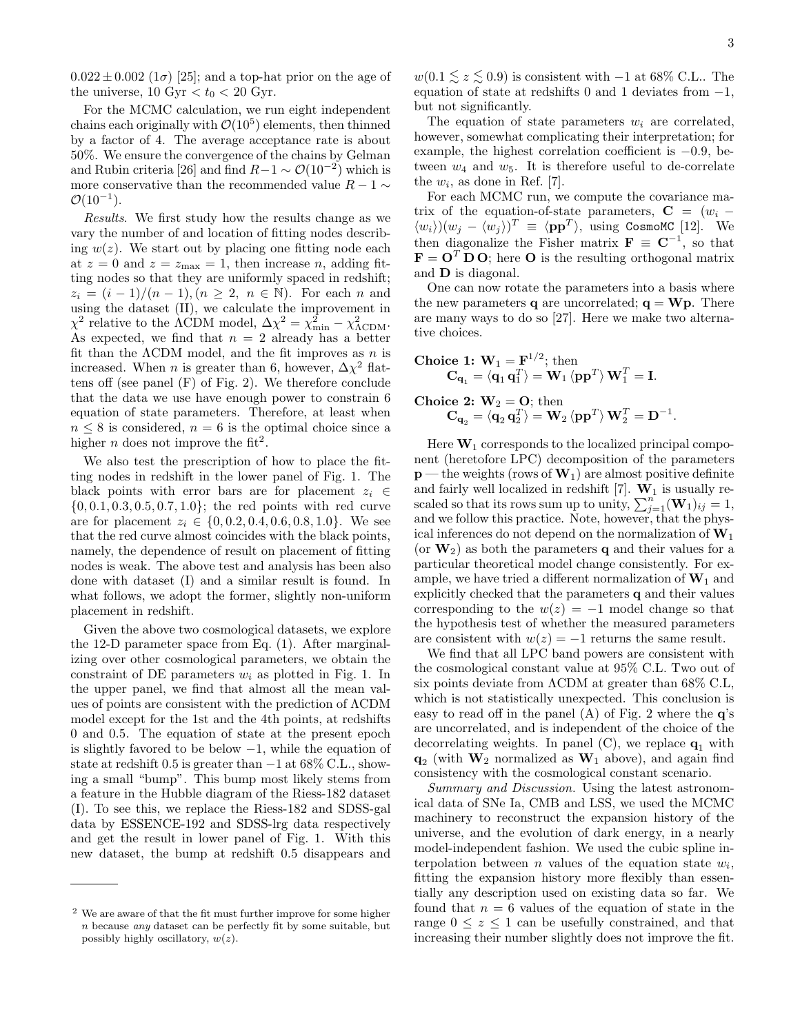$0.022 \pm 0.002$  (1 $\sigma$ ) [25]; and a top-hat prior on the age of the universe, 10 Gyr  $< t_0 < 20$  Gyr.

For the MCMC calculation, we run eight independent chains each originally with  $\mathcal{O}(10^5)$  elements, then thinned by a factor of 4. The average acceptance rate is about 50%. We ensure the convergence of the chains by Gelman and Rubin criteria [26] and find  $R-1 \sim \mathcal{O}(10^{-2})$  which is more conservative than the recommended value  $R - 1 \sim$  $\mathcal{O}(10^{-1})$ .

Results. We first study how the results change as we vary the number of and location of fitting nodes describing  $w(z)$ . We start out by placing one fitting node each at  $z = 0$  and  $z = z_{\text{max}} = 1$ , then increase n, adding fitting nodes so that they are uniformly spaced in redshift;  $z_i = (i-1)/(n-1), (n \geq 2, n \in \mathbb{N})$ . For each n and using the dataset (II), we calculate the improvement in  $\chi^2$  relative to the ACDM model,  $\Delta \chi^2 = \chi^2_{\text{min}} - \chi^2_{\text{ACDM}}$ . As expected, we find that  $n = 2$  already has a better fit than the  $\Lambda$ CDM model, and the fit improves as  $n$  is increased. When *n* is greater than 6, however,  $\Delta \chi^2$  flattens off (see panel  $(F)$  of Fig. 2). We therefore conclude that the data we use have enough power to constrain 6 equation of state parameters. Therefore, at least when  $n \leq 8$  is considered,  $n = 6$  is the optimal choice since a higher *n* does not improve the fit<sup>2</sup>.

We also test the prescription of how to place the fitting nodes in redshift in the lower panel of Fig. 1. The black points with error bars are for placement  $z_i \in$  $\{0, 0.1, 0.3, 0.5, 0.7, 1.0\}$ ; the red points with red curve are for placement  $z_i \in \{0, 0.2, 0.4, 0.6, 0.8, 1.0\}$ . We see that the red curve almost coincides with the black points, namely, the dependence of result on placement of fitting nodes is weak. The above test and analysis has been also done with dataset (I) and a similar result is found. In what follows, we adopt the former, slightly non-uniform placement in redshift.

Given the above two cosmological datasets, we explore the 12-D parameter space from Eq. (1). After marginalizing over other cosmological parameters, we obtain the constraint of DE parameters  $w_i$  as plotted in Fig. 1. In the upper panel, we find that almost all the mean values of points are consistent with the prediction of ΛCDM model except for the 1st and the 4th points, at redshifts 0 and 0.5. The equation of state at the present epoch is slightly favored to be below  $-1$ , while the equation of state at redshift 0.5 is greater than  $-1$  at 68% C.L., showing a small "bump". This bump most likely stems from a feature in the Hubble diagram of the Riess-182 dataset (I). To see this, we replace the Riess-182 and SDSS-gal data by ESSENCE-192 and SDSS-lrg data respectively and get the result in lower panel of Fig. 1. With this new dataset, the bump at redshift 0.5 disappears and

 $w(0.1 \leq z \leq 0.9)$  is consistent with −1 at 68% C.L.. The equation of state at redshifts 0 and 1 deviates from  $-1$ , but not significantly.

The equation of state parameters  $w_i$  are correlated, however, somewhat complicating their interpretation; for example, the highest correlation coefficient is −0.9, between  $w_4$  and  $w_5$ . It is therefore useful to de-correlate the  $w_i$ , as done in Ref. [7].

For each MCMC run, we compute the covariance matrix of the equation-of-state parameters,  $C = (w_i \langle w_i \rangle (w_j - \langle w_j \rangle)^T \equiv \langle pp^T \rangle$ , using CosmoMC [12]. We then diagonalize the Fisher matrix  $\mathbf{F} \equiv \mathbf{C}^{-1}$ , so that  $\mathbf{F} = \mathbf{O}^T \mathbf{D} \mathbf{O}$ ; here **O** is the resulting orthogonal matrix and D is diagonal.

One can now rotate the parameters into a basis where the new parameters **q** are uncorrelated;  $q = Wp$ . There are many ways to do so [27]. Here we make two alternative choices.

$$
\begin{array}{c} \textbf{Choice 1: } \mathbf{W}_1 = \mathbf{F}^{1/2}; \, \text{then} \\ \mathbf{C}_{\mathbf{q}_1} = \langle \mathbf{q}_1 \, \mathbf{q}_1^T \rangle = \mathbf{W}_1 \, \langle \mathbf{p} \mathbf{p}^T \rangle \, \mathbf{W}_1^T = \mathbf{I}. \end{array}
$$

**Choice 2:** 
$$
W_2 = O
$$
; then  
 $C_{q_2} = \langle q_2 q_2^T \rangle = W_2 \langle pp^T \rangle W_2^T = D^{-1}$ .

Here  $W_1$  corresponds to the localized principal component (heretofore LPC) decomposition of the parameters  $p$  — the weights (rows of  $W_1$ ) are almost positive definite and fairly well localized in redshift [7].  $W_1$  is usually rescaled so that its rows sum up to unity,  $\sum_{j=1}^{n} (\mathbf{W}_{1})_{ij} = 1$ , and we follow this practice. Note, however, that the physical inferences do not depend on the normalization of  $W_1$ (or  $W_2$ ) as both the parameters q and their values for a particular theoretical model change consistently. For example, we have tried a different normalization of  $W_1$  and explicitly checked that the parameters  ${\bf q}$  and their values corresponding to the  $w(z) = -1$  model change so that the hypothesis test of whether the measured parameters are consistent with  $w(z) = -1$  returns the same result.

We find that all LPC band powers are consistent with the cosmological constant value at 95% C.L. Two out of six points deviate from ΛCDM at greater than 68% C.L, which is not statistically unexpected. This conclusion is easy to read off in the panel  $(A)$  of Fig. 2 where the  $q$ 's are uncorrelated, and is independent of the choice of the decorrelating weights. In panel  $(C)$ , we replace  $q_1$  with  $\mathbf{q}_2$  (with  $\mathbf{W}_2$  normalized as  $\mathbf{W}_1$  above), and again find consistency with the cosmological constant scenario.

Summary and Discussion. Using the latest astronomical data of SNe Ia, CMB and LSS, we used the MCMC machinery to reconstruct the expansion history of the universe, and the evolution of dark energy, in a nearly model-independent fashion. We used the cubic spline interpolation between  $n$  values of the equation state  $w_i$ , fitting the expansion history more flexibly than essentially any description used on existing data so far. We found that  $n = 6$  values of the equation of state in the range  $0 \leq z \leq 1$  can be usefully constrained, and that increasing their number slightly does not improve the fit.

<sup>2</sup> We are aware of that the fit must further improve for some higher n because any dataset can be perfectly fit by some suitable, but possibly highly oscillatory,  $w(z)$ .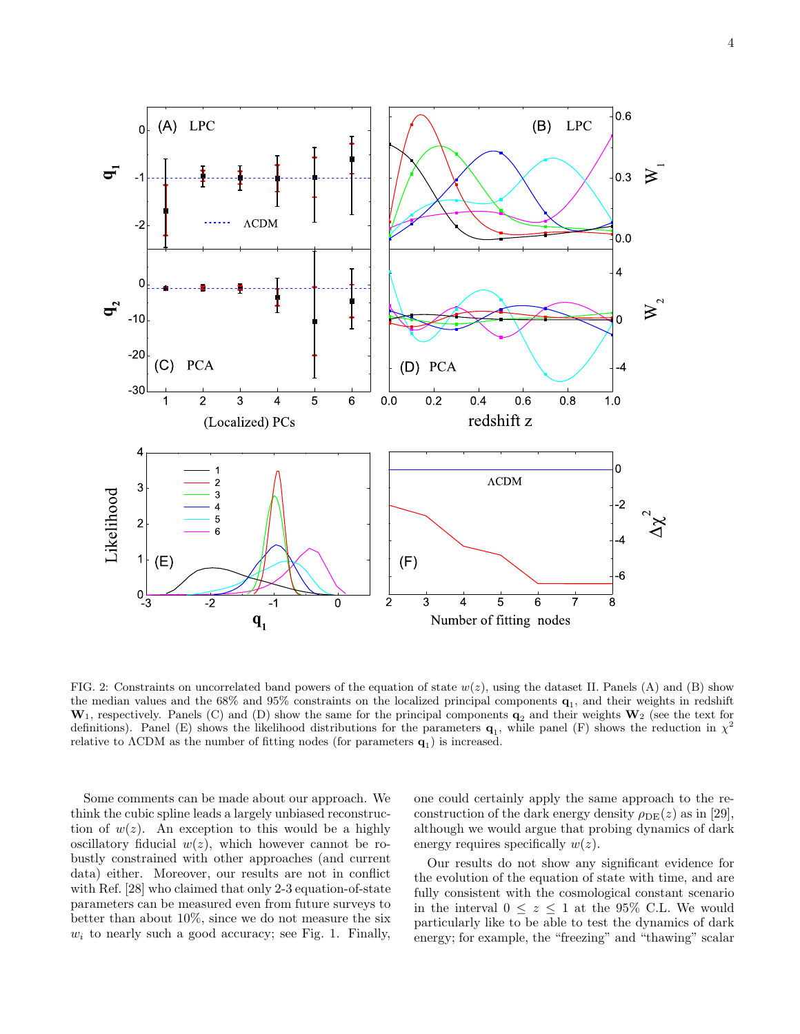4



FIG. 2: Constraints on uncorrelated band powers of the equation of state  $w(z)$ , using the dataset II. Panels (A) and (B) show the median values and the 68% and 95% constraints on the localized principal components  $q_1$ , and their weights in redshift  $W_1$ , respectively. Panels (C) and (D) show the same for the principal components  $q_2$  and their weights  $W_2$  (see the text for definitions). Panel (E) shows the likelihood distributions for the parameters  $\mathbf{q}_1$ , while panel (F) shows the reduction in  $\chi^2$ relative to  $\Lambda$ CDM as the number of fitting nodes (for parameters  $\mathbf{q}_1$ ) is increased.

Some comments can be made about our approach. We think the cubic spline leads a largely unbiased reconstruction of  $w(z)$ . An exception to this would be a highly oscillatory fiducial  $w(z)$ , which however cannot be robustly constrained with other approaches (and current data) either. Moreover, our results are not in conflict with Ref. [28] who claimed that only 2-3 equation-of-state parameters can be measured even from future surveys to better than about 10%, since we do not measure the six  $w_i$  to nearly such a good accuracy; see Fig. 1. Finally,

one could certainly apply the same approach to the reconstruction of the dark energy density  $\rho_{\text{DE}}(z)$  as in [29], although we would argue that probing dynamics of dark energy requires specifically  $w(z)$ .

Our results do not show any significant evidence for the evolution of the equation of state with time, and are fully consistent with the cosmological constant scenario in the interval  $0 \leq z \leq 1$  at the 95% C.L. We would particularly like to be able to test the dynamics of dark energy; for example, the "freezing" and "thawing" scalar